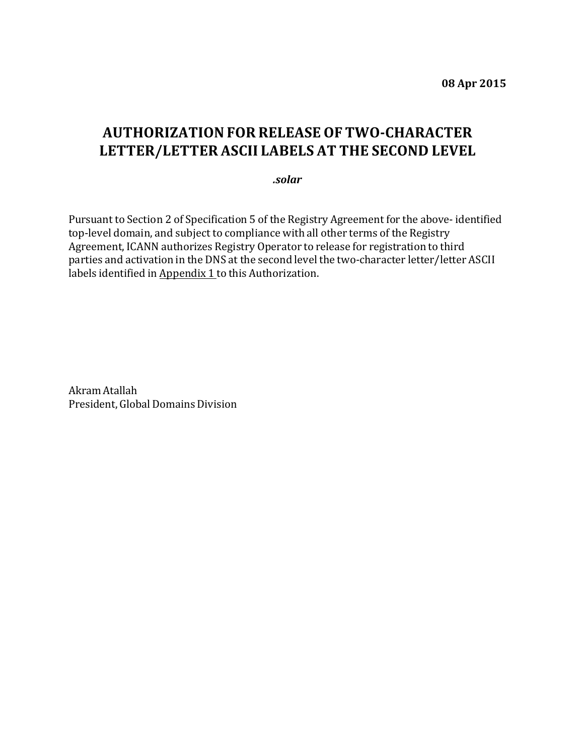## **AUTHORIZATIONFOR RELEASE OF TWO-CHARACTER LETTER/LETTER ASCII LABELS AT THE SECOND LEVEL**

*.solar*

Pursuant to Section 2 of Specification 5 of the Registry Agreement for the above- identified top-level domain, and subject to compliance with all other terms of the Registry Agreement, ICANN authorizes Registry Operator to release for registration to third parties and activation in the DNS at the second level the two-character letter/letter ASCII labels identified in Appendix 1 to this Authorization.

Akram Atallah President, Global Domains Division